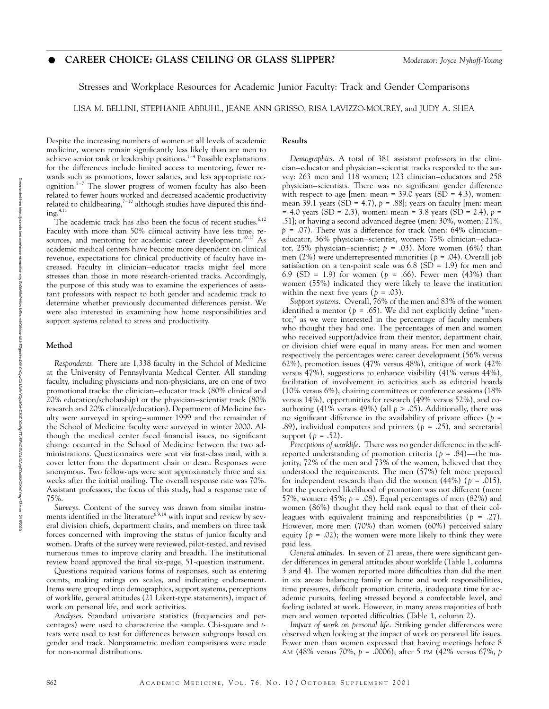# v **CAREER CHOICE: GLASS CEILING OR GLASS SLIPPER?** *Moderator: Joyce Nyhoff-Young*

Stresses and Workplace Resources for Academic Junior Faculty: Track and Gender Comparisons

LISA M. BELLINI, STEPHANIE ABBUHL, JEANE ANN GRISSO, RISA LAVIZZO-MOUREY, and JUDY A. SHEA

Despite the increasing numbers of women at all levels of academic medicine, women remain significantly less likely than are men to achieve senior rank or leadership positions.<sup>1-4</sup> Possible explanations for the differences include limited access to mentoring, fewer rewards such as promotions, lower salaries, and less appropriate recognition.5–7 The slower progress of women faculty has also been related to fewer hours worked and decreased academic productivity related to childbearing, $7-10$  although studies have disputed this find $ing.<sup>4,11</sup>$ 

The academic track has also been the focus of recent studies.<sup>6,12</sup> Faculty with more than 50% clinical activity have less time, resources, and mentoring for academic career development.<sup>10,13</sup> As academic medical centers have become more dependent on clinical revenue, expectations for clinical productivity of faculty have increased. Faculty in clinician–educator tracks might feel more stresses than those in more research-oriented tracks. Accordingly, the purpose of this study was to examine the experiences of assistant professors with respect to both gender and academic track to determine whether previously documented differences persist. We were also interested in examining how home responsibilities and support systems related to stress and productivity.

### **Method**

*Respondents*. There are 1,338 faculty in the School of Medicine at the University of Pennsylvania Medical Center. All standing faculty, including physicians and non-physicians, are on one of two promotional tracks: the clinician–educator track (80% clinical and 20% education/scholarship) or the physician–scientist track (80% research and 20% clinical/education). Department of Medicine faculty were surveyed in spring–summer 1999 and the remainder of the School of Medicine faculty were surveyed in winter 2000. Although the medical center faced financial issues, no significant change occurred in the School of Medicine between the two administrations. Questionnaires were sent via first-class mail, with a cover letter from the department chair or dean. Responses were anonymous. Two follow-ups were sent approximately three and six weeks after the initial mailing. The overall response rate was 70%. Assistant professors, the focus of this study, had a response rate of 75%.

*Surveys*. Content of the survey was drawn from similar instruments identified in the literature<sup>8,9,14</sup> with input and review by several division chiefs, department chairs, and members on three task forces concerned with improving the status of junior faculty and women. Drafts of the survey were reviewed, pilot-tested, and revised numerous times to improve clarity and breadth. The institutional review board approved the final six-page, 51-question instrument.

Questions required various forms of responses, such as entering counts, making ratings on scales, and indicating endorsement. Items were grouped into demographics, support systems, perceptions of worklife, general attitudes (21 Likert-type statements), impact of work on personal life, and work activities.

*Analyses*. Standard univariate statistics (frequencies and percentages) were used to characterize the sample. Chi-square and *t*tests were used to test for differences between subgroups based on gender and track. Nonparametric median comparisons were made for non-normal distributions.

## **Results**

*Demographics*. A total of 381 assistant professors in the clinician–educator and physician–scientist tracks responded to the survey: 263 men and 118 women; 123 clinician–educators and 258 physician–scientists. There was no significant gender difference with respect to age [men: mean =  $39.0$  years (SD = 4.3), women: mean 39.1 years (SD = 4.7),  $p = .88$ ]; years on faculty [men: mean = 4.0 years (SD = 2.3), women: mean = 3.8 years (SD = 2.4), *p* = .51]; or having a second advanced degree (men: 30%, women: 21%, *p* = .07). There was a difference for track (men: 64% clinician– educator, 36% physician–scientist, women: 75% clinician–educator, 25% physician–scientist;  $p = .03$ ). More women (6%) than men (2%) were underrepresented minorities (*p* = .04). Overall job satisfaction on a ten-point scale was  $6.8$  (SD = 1.9) for men and 6.9 (SD = 1.9) for women (*p* = .66). Fewer men (43%) than women (55%) indicated they were likely to leave the institution within the next five years ( $p = .03$ ).

*Support systems*. Overall, 76% of the men and 83% of the women identified a mentor ( $p = .65$ ). We did not explicitly define "mentor,'' as we were interested in the percentage of faculty members who thought they had one. The percentages of men and women who received support/advice from their mentor, department chair, or division chief were equal in many areas. For men and women respectively the percentages were: career development (56% versus 62%), promotion issues (47% versus 48%), critique of work (42% versus 47%), suggestions to enhance visibility (41% versus 44%), facilitation of involvement in activities such as editorial boards (10% versus 6%), chairing committees or conference sessions (18% versus 14%), opportunities for research (49% versus 52%), and coauthoring (41% versus 49%) (all  $p > .05$ ). Additionally, there was no significant difference in the availability of private offices ( $p =$ .89), individual computers and printers ( $p = .25$ ), and secretarial support  $(p = .52)$ .

*Perceptions of worklife*. There was no gender difference in the selfreported understanding of promotion criteria (*p* = .84)—the majority, 72% of the men and 73% of the women, believed that they understood the requirements. The men (57%) felt more prepared for independent research than did the women  $(44%)$  ( $p = .015$ ), but the perceived likelihood of promotion was not different (men: 57%, women: 45%; *p* = .08). Equal percentages of men (82%) and women (86%) thought they held rank equal to that of their colleagues with equivalent training and responsibilities (*p* = .27). However, more men (70%) than women (60%) perceived salary equity ( $p = .02$ ); the women were more likely to think they were paid less.

*General attitudes*. In seven of 21 areas, there were significant gender differences in general attitudes about worklife (Table 1, columns 3 and 4). The women reported more difficulties than did the men in six areas: balancing family or home and work responsibilities, time pressures, difficult promotion criteria, inadequate time for academic pursuits, feeling stressed beyond a comfortable level, and feeling isolated at work. However, in many areas majorities of both men and women reported difficulties (Table 1, column 2).

*Impact of work on personal life*. Striking gender differences were observed when looking at the impact of work on personal life issues. Fewer men than women expressed that having meetings before 8 AM (48% versus 70%, *p* = .0006), after 5 PM (42% versus 67%, *p*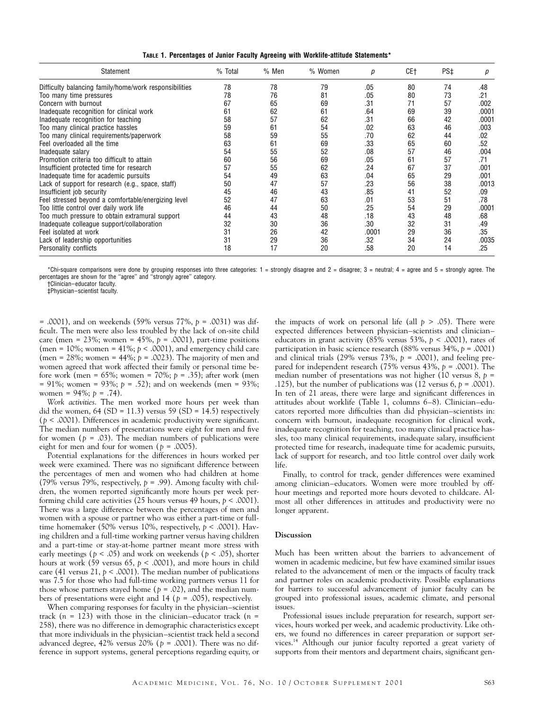| TABLE 1. Percentages of Junior Faculty Agreeing with Worklife-attitude Statements* |  |  |
|------------------------------------------------------------------------------------|--|--|
|                                                                                    |  |  |

| Statement                                              | % Total | % Men | % Women | р     | CE+ | PS‡ | р     |
|--------------------------------------------------------|---------|-------|---------|-------|-----|-----|-------|
| Difficulty balancing family/home/work responsibilities | 78      | 78    | 79      | .05   | 80  | 74  | .48   |
| Too many time pressures                                | 78      | 76    | 81      | .05   | 80  | 73  | .21   |
| Concern with burnout                                   | 67      | 65    | 69      | .31   | 71  | 57  | .002  |
| Inadequate recognition for clinical work               | 61      | 62    | 61      | .64   | 69  | 39  | .0001 |
| Inadequate recognition for teaching                    | 58      | 57    | 62      | .31   | 66  | 42  | .0001 |
| Too many clinical practice hassles                     | 59      | 61    | 54      | .02   | 63  | 46  | .003  |
| Too many clinical requirements/paperwork               | 58      | 59    | 55      | .70   | 62  | 44  | .02   |
| Feel overloaded all the time                           | 63      | 61    | 69      | .33   | 65  | 60  | .52   |
| Inadequate salary                                      | 54      | 55    | 52      | .08   | 57  | 46  | .004  |
| Promotion criteria too difficult to attain             | 60      | 56    | 69      | .05   | 61  | 57  | .71   |
| Insufficient protected time for research               | 57      | 55    | 62      | .24   | 67  | 37  | .001  |
| Inadequate time for academic pursuits                  | 54      | 49    | 63      | .04   | 65  | 29  | .001  |
| Lack of support for research (e.g., space, staff)      | 50      | 47    | 57      | .23   | 56  | 38  | .0013 |
| Insufficient job security                              | 45      | 46    | 43      | .85   | 41  | 52  | .09   |
| Feel stressed beyond a comfortable/energizing level    | 52      | 47    | 63      | .01   | 53  | 51  | .78   |
| Too little control over daily work life                | 46      | 44    | 50      | .25   | 54  | 29  | .0001 |
| Too much pressure to obtain extramural support         | 44      | 43    | 48      | .18   | 43  | 48  | .68   |
| Inadequate colleague support/collaboration             | 32      | 30    | 36      | .30   | 32  | 31  | .49   |
| Feel isolated at work                                  | 31      | 26    | 42      | .0001 | 29  | 36  | .35   |
| Lack of leadership opportunities                       | 31      | 29    | 36      | .32   | 34  | 24  | .0035 |
| Personality conflicts                                  | 18      | 17    | 20      | .58   | 20  | 14  | .25   |

\*Chi-square comparisons were done by grouping responses into three categories:  $1 =$  strongly disagree and  $2 =$  disagree;  $3 =$  neutral;  $4 =$  agree and  $5 =$  strongly agree. The percentages are shown for the ''agree'' and ''strongly agree'' category.

†Clinician–educator faculty.

‡Physician–scientist faculty.

= .0001), and on weekends (59% versus 77%, *p* = .0031) was difficult. The men were also less troubled by the lack of on-site child care (men =  $23\%$ ; women =  $45\%$ ,  $p = .0001$ ), part-time positions (men =  $10\%$ ; women =  $41\%$ ;  $p < .0001$ ), and emergency child care (men = 28%; women = 44%; *p* = .0023). The majority of men and women agreed that work affected their family or personal time before work (men = 65%; women = 70%; *p* = .35); after work (men = 91%; women = 93%; *p* = .52); and on weekends (men = 93%; women = 94%; *p* = .74).

*Work activities*. The men worked more hours per week than did the women,  $64$  (SD = 11.3) versus 59 (SD = 14.5) respectively  $(p < .0001)$ . Differences in academic productivity were significant. The median numbers of presentations were eight for men and five for women ( $p = .03$ ). The median numbers of publications were eight for men and four for women (*p* = .0005).

Potential explanations for the differences in hours worked per week were examined. There was no significant difference between the percentages of men and women who had children at home (79% versus 79%, respectively, *p* = .99). Among faculty with children, the women reported significantly more hours per week performing child care activities (25 hours versus 49 hours, *p* < .0001). There was a large difference between the percentages of men and women with a spouse or partner who was either a part-time or fulltime homemaker (50% versus 10%, respectively, *p* < .0001). Having children and a full-time working partner versus having children and a part-time or stay-at-home partner meant more stress with early meetings (*p* < .05) and work on weekends (*p* < .05), shorter hours at work (59 versus 65, *p* < .0001), and more hours in child care (41 versus 21,  $p < .0001$ ). The median number of publications was 7.5 for those who had full-time working partners versus 11 for those whose partners stayed home ( $p = .02$ ), and the median numbers of presentations were eight and 14 (*p* = .005), respectively.

When comparing responses for faculty in the physician–scientist track  $(n = 123)$  with those in the clinician–educator track  $(n = 123)$ 258), there was no difference in demographic characteristics except that more individuals in the physician–scientist track held a second advanced degree, 42% versus 20% (*p* = .0001). There was no difference in support systems, general perceptions regarding equity, or the impacts of work on personal life (all  $p > .05$ ). There were expected differences between physician–scientists and clinician– educators in grant activity (85% versus 53%, *p* < .0001), rates of participation in basic science research (88% versus 34%, *p* = .0001) and clinical trials (29% versus 73%, *p* = .0001), and feeling prepared for independent research (75% versus 43%, *p* = .0001). The median number of presentations was not higher (10 versus 8, *p* = .125), but the number of publications was  $(12 \text{ versus } 6, p = .0001)$ . In ten of 21 areas, there were large and significant differences in attitudes about worklife (Table 1, columns 6–8). Clinician–educators reported more difficulties than did physician–scientists in: concern with burnout, inadequate recognition for clinical work, inadequate recognition for teaching, too many clinical practice hassles, too many clinical requirements, inadequate salary, insufficient protected time for research, inadequate time for academic pursuits, lack of support for research, and too little control over daily work life.

Finally, to control for track, gender differences were examined among clinician–educators. Women were more troubled by offhour meetings and reported more hours devoted to childcare. Almost all other differences in attitudes and productivity were no longer apparent.

### **Discussion**

Much has been written about the barriers to advancement of women in academic medicine, but few have examined similar issues related to the advancement of men or the impacts of faculty track and partner roles on academic productivity. Possible explanations for barriers to successful advancement of junior faculty can be grouped into professional issues, academic climate, and personal issues.

Professional issues include preparation for research, support services, hours worked per week, and academic productivity. Like others, we found no differences in career preparation or support services.14 Although our junior faculty reported a great variety of supports from their mentors and department chairs, significant gen